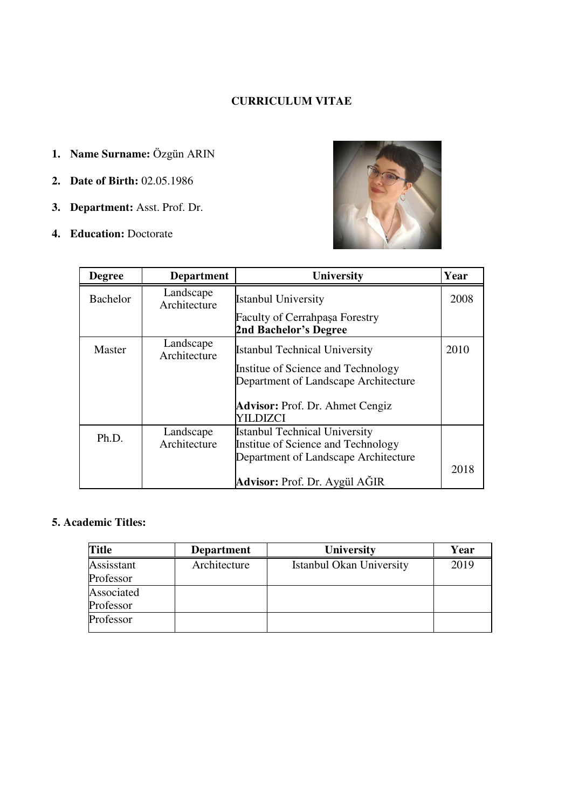# **CURRICULUM VITAE**

- **1. Name Surname:** Özgün ARIN
- **2. Date of Birth:** 02.05.1986
- **3. Department:** Asst. Prof. Dr.
- **4. Education:** Doctorate



| <b>Degree</b> | <b>Department</b>         | University                                                                 | Year |
|---------------|---------------------------|----------------------------------------------------------------------------|------|
| Bachelor      | Landscape<br>Architecture | <b>Istanbul University</b>                                                 | 2008 |
|               |                           | <b>Faculty of Cerrahpasa Forestry</b><br><b>2nd Bachelor's Degree</b>      |      |
| Master        | Landscape<br>Architecture | <b>Istanbul Technical University</b>                                       | 2010 |
|               |                           | Institue of Science and Technology<br>Department of Landscape Architecture |      |
|               |                           | <b>Advisor:</b> Prof. Dr. Ahmet Cengiz<br>YILDIZCI                         |      |
| Ph.D.         | Landscape<br>Architecture | <b>Istanbul Technical University</b><br>Institue of Science and Technology |      |
|               |                           | Department of Landscape Architecture                                       |      |
|               |                           | <b>Advisor:</b> Prof. Dr. Aygül AGIR                                       | 2018 |

# **5. Academic Titles:**

| <b>Title</b> | <b>Department</b> | <b>University</b>        | Year |
|--------------|-------------------|--------------------------|------|
| Assisstant   | Architecture      | Istanbul Okan University | 2019 |
| Professor    |                   |                          |      |
| Associated   |                   |                          |      |
| Professor    |                   |                          |      |
| Professor    |                   |                          |      |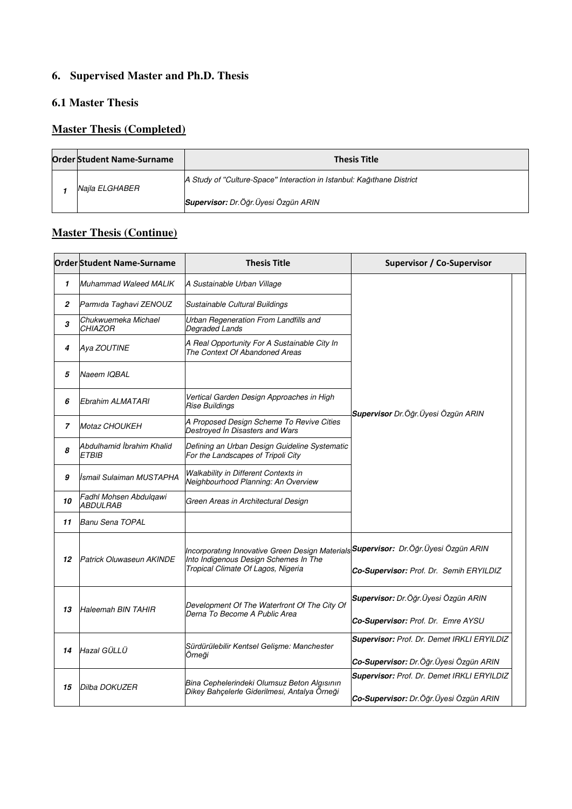# **6. Supervised Master and Ph.D. Thesis**

# **6.1 Master Thesis**

# **Master Thesis (Completed)**

|  | <b>Order Student Name-Surname</b> | <b>Thesis Title</b>                                                    |
|--|-----------------------------------|------------------------------------------------------------------------|
|  | Naila ELGHABER                    | A Study of "Culture-Space" Interaction in Istanbul: Kağıthane District |
|  |                                   | Supervisor: Dr. Öğr. Üyesi Özgün ARIN                                  |

# **Master Thesis (Continue)**

|                | <b>Order Student Name-Surname</b>                | <b>Thesis Title</b>                                                                                                                                                        | <b>Supervisor / Co-Supervisor</b>                                                      |  |
|----------------|--------------------------------------------------|----------------------------------------------------------------------------------------------------------------------------------------------------------------------------|----------------------------------------------------------------------------------------|--|
| $\mathbf{1}$   | <b>Muhammad Waleed MALIK</b>                     | A Sustainable Urban Village                                                                                                                                                |                                                                                        |  |
| 2              | Parmida Taghavi ZENOUZ                           | Sustainable Cultural Buildings                                                                                                                                             |                                                                                        |  |
| 3              | Chukwuemeka Michael<br><b>CHIAZOR</b>            | Urban Regeneration From Landfills and<br>Degraded Lands                                                                                                                    |                                                                                        |  |
| 4              | Aya ZOUTINE                                      | A Real Opportunity For A Sustainable City In<br>The Context Of Abandoned Areas                                                                                             |                                                                                        |  |
| 5              | Naeem IQBAL                                      |                                                                                                                                                                            |                                                                                        |  |
| 6              | Ebrahim ALMATARI                                 | Vertical Garden Design Approaches in High<br>Rise Buildings                                                                                                                | Supervisor Dr.Öğr. Üyesi Özgün ARIN                                                    |  |
| $\overline{7}$ | <b>Motaz CHOUKEH</b>                             | A Proposed Design Scheme To Revive Cities<br>Destroyed In Disasters and Wars                                                                                               |                                                                                        |  |
| 8              | Abdulhamid İbrahim Khalid<br><b>ETBIB</b>        | Defining an Urban Design Guideline Systematic<br>For the Landscapes of Tripoli City                                                                                        |                                                                                        |  |
| 9              | İsmail Sulaiman MUSTAPHA                         | Walkability in Different Contexts in<br>Neighbourhood Planning: An Overview                                                                                                |                                                                                        |  |
| 10             | Fadhl Mohsen Abdulqawi<br><i><b>ABDULRAB</b></i> | Green Areas in Architectural Design                                                                                                                                        |                                                                                        |  |
| 11             | Banu Sena TOPAL                                  |                                                                                                                                                                            |                                                                                        |  |
| 12             | Patrick Oluwaseun AKINDE                         | Incorporatıng Innovative Green Design Materials <b>SSupervisor:</b> Dr.Öğr.Üyesi Özgün ARIN<br>Into Indigenous Design Schemes In The<br>Tropical Climate Of Lagos, Nigeria | Co-Supervisor: Prof. Dr. Semih ERYILDIZ                                                |  |
| 13             | <b>Haleemah BIN TAHIR</b>                        | Development Of The Waterfront Of The City Of<br>Derna To Become A Public Area                                                                                              | Supervisor: Dr.Öğr. Üyesi Özgün ARIN<br>Co-Supervisor: Prof. Dr. Emre AYSU             |  |
| 14             | Hazal GÜLLÜ                                      | Sürdürülebilir Kentsel Gelişme: Manchester<br>Örneği                                                                                                                       | Supervisor: Prof. Dr. Demet IRKLI ERYILDIZ<br>Co-Supervisor: Dr. Öğr. Üyesi Özgün ARIN |  |
| 15             | Dilba DOKUZER                                    | Bina Cephelerindeki Olumsuz Beton Algısının<br>Dikey Bahçelerle Giderilmesi, Antalya Örneği                                                                                | Supervisor: Prof. Dr. Demet IRKLI ERYILDIZ<br>Co-Supervisor: Dr.Öğr.Üyesi Özgün ARIN   |  |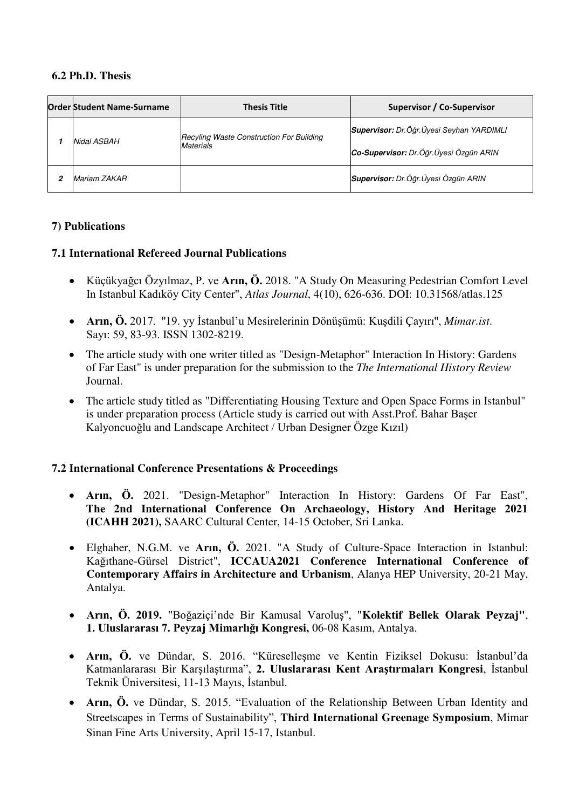#### **6.2 Ph.D. Thesis**

| <b>Order Student Name-Surname</b> |              | <b>Thesis Title</b>                      | <b>Supervisor / Co-Supervisor</b>            |  |
|-----------------------------------|--------------|------------------------------------------|----------------------------------------------|--|
|                                   |              | Recyling Waste Construction For Building | Supervisor: Dr.Öğr.Üyesi Seyhan YARDIMLI     |  |
|                                   | Nidal ASBAH  | Materials                                | Co-Supervisor: Dr.Öğr.Üyesi Özgün ARIN       |  |
| 2                                 | Mariam ZAKAR |                                          | <b>Supervisor:</b> Dr. Öğr. Üyesi Özgün ARIN |  |

#### **7) Publications**

#### **7.1 International Refereed Journal Publications**

- Küçükyağcı Özyılmaz, P. ve **Arın, Ö.** 2018. "A Study On Measuring Pedestrian Comfort Level In Istanbul Kadıköy City Center", *Atlas Journal*, 4(10), 626-636. DOI: 10.31568/atlas.125
- **Arın, Ö.** 2017. ''19. yy İstanbul'u Mesirelerinin Dönüşümü: Kuşdili Çayırı'', *Mimar.ist*. Sayı: 59, 83-93. ISSN 1302-8219.
- The article study with one writer titled as "Design-Metaphor" Interaction In History: Gardens of Far East" is under preparation for the submission to the *The International History Review* Journal.
- The article study titled as "Differentiating Housing Texture and Open Space Forms in Istanbul" is under preparation process (Article study is carried out with Asst.Prof. Bahar Başer Kalyoncuoğlu and Landscape Architect / Urban Designer Özge Kızıl)

#### **7.2 International Conference Presentations & Proceedings**

- **Arın, Ö.** 2021. "Design-Metaphor" Interaction In History: Gardens Of Far East", **The 2nd International Conference On Archaeology, History And Heritage 2021 (ICAHH 2021),** SAARC Cultural Center, 14-15 October, Sri Lanka.
- Elghaber, N.G.M. ve **Arın, Ö.** 2021. "A Study of Culture-Space Interaction in Istanbul: Kağıthane-Gürsel District", **ICCAUA2021 Conference International Conference of Contemporary Affairs in Architecture and Urbanism**, Alanya HEP University, 20-21 May, Antalya.
- **Arın, Ö. 2019.** "Boğaziçi'nde Bir Kamusal Varoluş", "**Kolektif Bellek Olarak Peyzaj"**, **1. Uluslararası 7. Peyzaj Mimarlığı Kongresi,** 06-08 Kasım, Antalya.
- **Arın, Ö.** ve Dündar, S. 2016. "Küreselleşme ve Kentin Fiziksel Dokusu: İstanbul'da Katmanlararası Bir Karşılaştırma", **2. Uluslararası Kent Araştırmaları Kongresi**, İstanbul Teknik Üniversitesi, 11-13 Mayıs, İstanbul.
- **Arın, Ö.** ve Dündar, S. 2015. "Evaluation of the Relationship Between Urban Identity and Streetscapes in Terms of Sustainability", **Third International Greenage Symposium**, Mimar Sinan Fine Arts University, April 15-17, Istanbul.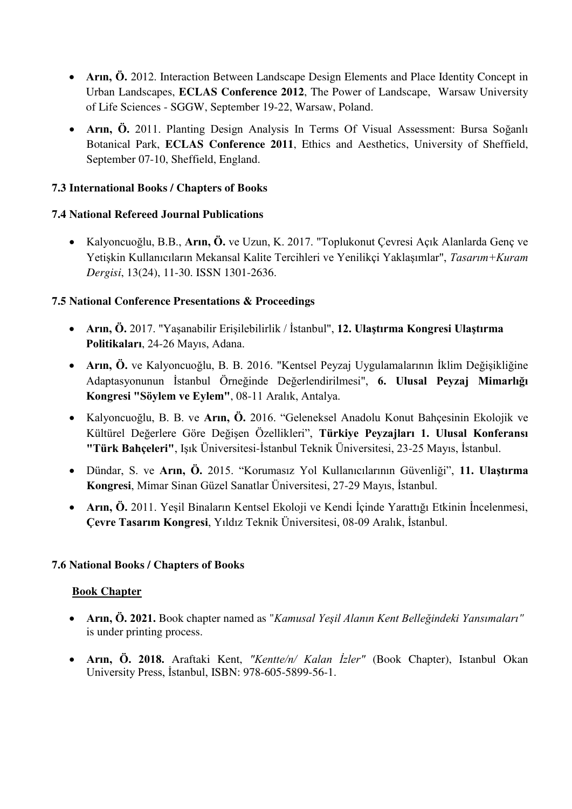- **Arın, Ö.** 2012. Interaction Between Landscape Design Elements and Place Identity Concept in Urban Landscapes, **ECLAS Conference 2012**, The Power of Landscape, [Warsaw University](http://www.eclas.org/university-details.php?universitaet_id=92)  [of Life Sciences - SGGW,](http://www.eclas.org/university-details.php?universitaet_id=92) September 19-22, Warsaw, Poland.
- **Arın, Ö.** 2011. Planting Design Analysis In Terms Of Visual Assessment: Bursa Soğanlı Botanical Park, **ECLAS Conference 2011**, Ethics and Aesthetics, University of Sheffield, September 07-10, Sheffield, England.

## **7.3 International Books / Chapters of Books**

### **7.4 National Refereed Journal Publications**

 Kalyoncuoğlu, B.B., **Arın, Ö.** ve Uzun, K. 2017. "Toplukonut Çevresi Açık Alanlarda Genç ve Yetişkin Kullanıcıların Mekansal Kalite Tercihleri ve Yenilikçi Yaklaşımlar", *Tasarım+Kuram Dergisi*, 13(24), 11-30. ISSN 1301-2636.

### **7.5 National Conference Presentations & Proceedings**

- **Arın, Ö.** 2017. "Yaşanabilir Erişilebilirlik / İstanbul", **12. Ulaştırma Kongresi Ulaştırma Politikaları**, 24-26 Mayıs, Adana.
- **Arın, Ö.** ve Kalyoncuoğlu, B. B. 2016. "Kentsel Peyzaj Uygulamalarının İklim Değişikliğine Adaptasyonunun İstanbul Örneğinde Değerlendirilmesi", **6. Ulusal Peyzaj Mimarlığı Kongresi "Söylem ve Eylem"**, 08-11 Aralık, Antalya.
- Kalyoncuoğlu, B. B. ve **Arın, Ö.** 2016. "Geleneksel Anadolu Konut Bahçesinin Ekolojik ve Kültürel Değerlere Göre Değişen Özellikleri", **Türkiye Peyzajları 1. Ulusal Konferansı "Türk Bahçeleri"**, Işık Üniversitesi-İstanbul Teknik Üniversitesi, 23-25 Mayıs, İstanbul.
- Dündar, S. ve **Arın, Ö.** 2015. "Korumasız Yol Kullanıcılarının Güvenliği", **11. Ulaştırma Kongresi**, Mimar Sinan Güzel Sanatlar Üniversitesi, 27-29 Mayıs, İstanbul.
- **Arın, Ö.** 2011. Yeşil Binaların Kentsel Ekoloji ve Kendi İçinde Yarattığı Etkinin İncelenmesi, **Çevre Tasarım Kongresi**, Yıldız Teknik Üniversitesi, 08-09 Aralık, İstanbul.

#### **7.6 National Books / Chapters of Books**

#### **Book Chapter**

- **Arın, Ö. 2021.** Book chapter named as "*Kamusal Yeşil Alanın Kent Belleğindeki Yansımaları"*  is under printing process.
- **Arın, Ö. 2018.** Araftaki Kent, *"Kentte/n/ Kalan İzler"* (Book Chapter), Istanbul Okan University Press, İstanbul, ISBN: 978-605-5899-56-1.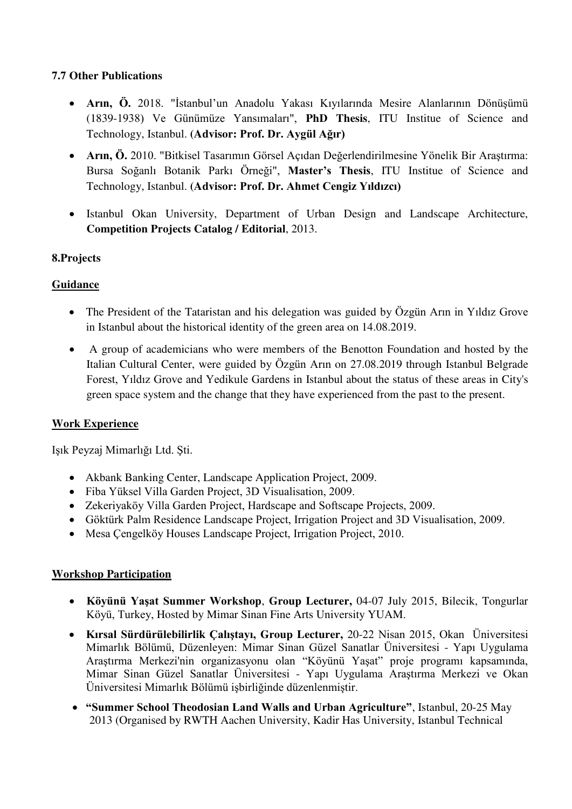### **7.7 Other Publications**

- **Arın, Ö.** 2018. "İstanbul'un Anadolu Yakası Kıyılarında Mesire Alanlarının Dönüşümü (1839-1938) Ve Günümüze Yansımaları", **PhD Thesis**, ITU Institue of Science and Technology, Istanbul. **(Advisor: Prof. Dr. Aygül Ağır)**
- **Arın, Ö.** 2010. "Bitkisel Tasarımın Görsel Açıdan Değerlendirilmesine Yönelik Bir Araştırma: Bursa Soğanlı Botanik Parkı Örneği", **Master's Thesis**, ITU Institue of Science and Technology, Istanbul. **(Advisor: Prof. Dr. Ahmet Cengiz Yıldızcı)**
- Istanbul Okan University, Department of Urban Design and Landscape Architecture, **Competition Projects Catalog / Editorial**, 2013.

### **8.Projects**

# **Guidance**

- The President of the Tataristan and his delegation was guided by Özgün Arın in Yıldız Grove in Istanbul about the historical identity of the green area on 14.08.2019.
- A group of academicians who were members of the Benotton Foundation and hosted by the Italian Cultural Center, were guided by Özgün Arın on 27.08.2019 through Istanbul Belgrade Forest, Yıldız Grove and Yedikule Gardens in Istanbul about the status of these areas in City's green space system and the change that they have experienced from the past to the present.

# **Work Experience**

Işık Peyzaj Mimarlığı Ltd. Şti.

- Akbank Banking Center, Landscape Application Project, 2009.
- Fiba Yüksel Villa Garden Project, 3D Visualisation, 2009.
- Zekeriyaköy Villa Garden Project, Hardscape and Softscape Projects, 2009.
- Göktürk Palm Residence Landscape Project, Irrigation Project and 3D Visualisation, 2009.
- Mesa Cengelköy Houses Landscape Project, Irrigation Project, 2010.

#### **Workshop Participation**

- **Köyünü Yaşat Summer Workshop**, **Group Lecturer,** 04-07 July 2015, Bilecik, Tongurlar Köyü, Turkey, Hosted by Mimar Sinan Fine Arts University YUAM.
- **Kırsal Sürdürülebilirlik Çalıştayı, Group Lecturer,** 20-22 Nisan 2015, Okan Üniversitesi Mimarlık Bölümü, Düzenleyen: Mimar Sinan Güzel Sanatlar Üniversitesi - Yapı Uygulama Araştırma Merkezi'nin organizasyonu olan "Köyünü Yaşat" proje programı kapsamında, Mimar Sinan Güzel Sanatlar Üniversitesi - Yapı Uygulama Araştırma Merkezi ve Okan Üniversitesi Mimarlık Bölümü işbirliğinde düzenlenmiştir.
- **"Summer School Theodosian Land Walls and Urban Agriculture"**, Istanbul, 20-25 May 2013 (Organised by RWTH Aachen University, Kadir Has University, Istanbul Technical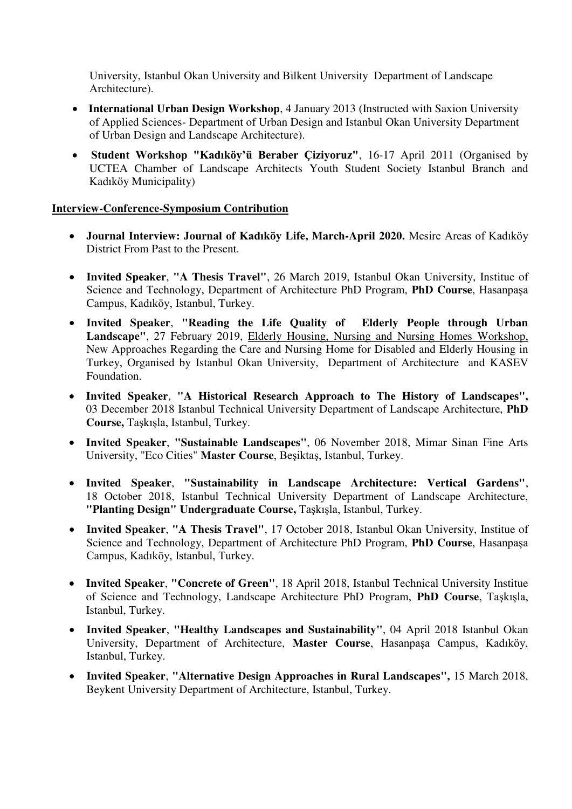University, Istanbul Okan University and Bilkent University Department of Landscape Architecture).

- **International Urban Design Workshop**, 4 January 2013 (Instructed with Saxion University of Applied Sciences- Department of Urban Design and Istanbul Okan University Department of Urban Design and Landscape Architecture).
- **Student Workshop "Kadıköy'ü Beraber Çiziyoruz"**, 16-17 April 2011 (Organised by UCTEA Chamber of Landscape Architects Youth Student Society Istanbul Branch and Kadıköy Municipality)

#### **Interview-Conference-Symposium Contribution**

- **Journal Interview: Journal of Kadıköy Life, March-April 2020.** Mesire Areas of Kadıköy District From Past to the Present.
- **Invited Speaker**, **"A Thesis Travel"**, 26 March 2019, Istanbul Okan University, Institue of Science and Technology, Department of Architecture PhD Program, **PhD Course**, Hasanpaşa Campus, Kadıköy, Istanbul, Turkey.
- **Invited Speaker**, **"Reading the Life Quality of Elderly People through Urban Landscape"**, 27 February 2019, Elderly Housing, Nursing and Nursing Homes Workshop, New Approaches Regarding the Care and Nursing Home for Disabled and Elderly Housing in Turkey, Organised by Istanbul Okan University, Department of Architecture and KASEV Foundation.
- **Invited Speaker**, **"A Historical Research Approach to The History of Landscapes",**  03 December 2018 Istanbul Technical University Department of Landscape Architecture, **PhD Course,** Taşkışla, Istanbul, Turkey.
- **Invited Speaker**, **"Sustainable Landscapes"**, 06 November 2018, Mimar Sinan Fine Arts University, "Eco Cities" **Master Course**, Beşiktaş, Istanbul, Turkey.
- **Invited Speaker**, **"Sustainability in Landscape Architecture: Vertical Gardens"**, 18 October 2018, Istanbul Technical University Department of Landscape Architecture, **"Planting Design" Undergraduate Course,** Taşkışla, Istanbul, Turkey.
- **Invited Speaker**, **"A Thesis Travel"**, 17 October 2018, Istanbul Okan University, Institue of Science and Technology, Department of Architecture PhD Program, **PhD Course**, Hasanpaşa Campus, Kadıköy, Istanbul, Turkey.
- **Invited Speaker**, **"Concrete of Green"**, 18 April 2018, Istanbul Technical University Institue of Science and Technology, Landscape Architecture PhD Program, **PhD Course**, Taşkışla, Istanbul, Turkey.
- **Invited Speaker**, **"Healthy Landscapes and Sustainability"**, 04 April 2018 Istanbul Okan University, Department of Architecture, **Master Course**, Hasanpaşa Campus, Kadıköy, Istanbul, Turkey.
- **Invited Speaker**, **"Alternative Design Approaches in Rural Landscapes",** 15 March 2018, Beykent University Department of Architecture, Istanbul, Turkey.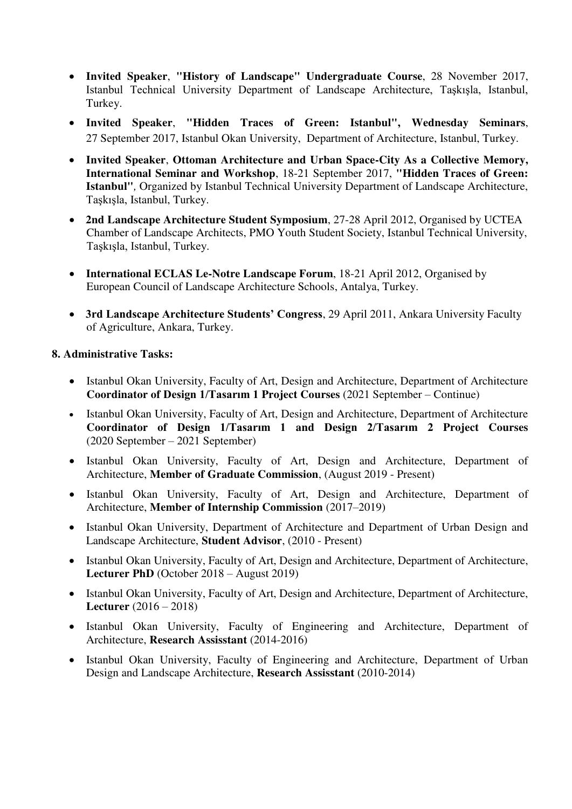- **Invited Speaker**, **"History of Landscape" Undergraduate Course**, 28 November 2017, Istanbul Technical University Department of Landscape Architecture, Taşkışla, Istanbul, Turkey.
- **Invited Speaker**, **"Hidden Traces of Green: Istanbul", Wednesday Seminars**, 27 September 2017, Istanbul Okan University, Department of Architecture, Istanbul, Turkey.
- **Invited Speaker**, **Ottoman Architecture and Urban Space-City As a Collective Memory, International Seminar and Workshop**, 18-21 September 2017, **"Hidden Traces of Green: Istanbul"***,* Organized by Istanbul Technical University Department of Landscape Architecture, Taşkışla, Istanbul, Turkey.
- **2nd Landscape Architecture Student Symposium**, 27-28 April 2012, Organised by UCTEA Chamber of Landscape Architects, PMO Youth Student Society, Istanbul Technical University, Taşkışla, Istanbul, Turkey.
- **International ECLAS Le-Notre Landscape Forum**, 18-21 April 2012, Organised by European Council of Landscape Architecture Schools, Antalya, Turkey.
- **3rd Landscape Architecture Students' Congress**, 29 April 2011, Ankara University Faculty of Agriculture, Ankara, Turkey.

#### **8. Administrative Tasks:**

- Istanbul Okan University, Faculty of Art, Design and Architecture, Department of Architecture **Coordinator of Design 1/Tasarım 1 Project Courses** (2021 September – Continue)
- Istanbul Okan University, Faculty of Art, Design and Architecture, Department of Architecture **Coordinator of Design 1/Tasarım 1 and Design 2/Tasarım 2 Project Courses**  (2020 September – 2021 September)
- Istanbul Okan University, Faculty of Art, Design and Architecture, Department of Architecture, **Member of Graduate Commission**, (August 2019 - Present)
- Istanbul Okan University, Faculty of Art, Design and Architecture, Department of Architecture, **Member of Internship Commission** (2017–2019)
- Istanbul Okan University, Department of Architecture and Department of Urban Design and Landscape Architecture, **Student Advisor**, (2010 - Present)
- Istanbul Okan University, Faculty of Art, Design and Architecture, Department of Architecture, **Lecturer PhD** (October 2018 – August 2019)
- Istanbul Okan University, Faculty of Art, Design and Architecture, Department of Architecture, **Lecturer** (2016 – 2018)
- Istanbul Okan University, Faculty of Engineering and Architecture, Department of Architecture, **Research Assisstant** (2014-2016)
- Istanbul Okan University, Faculty of Engineering and Architecture, Department of Urban Design and Landscape Architecture, **Research Assisstant** (2010-2014)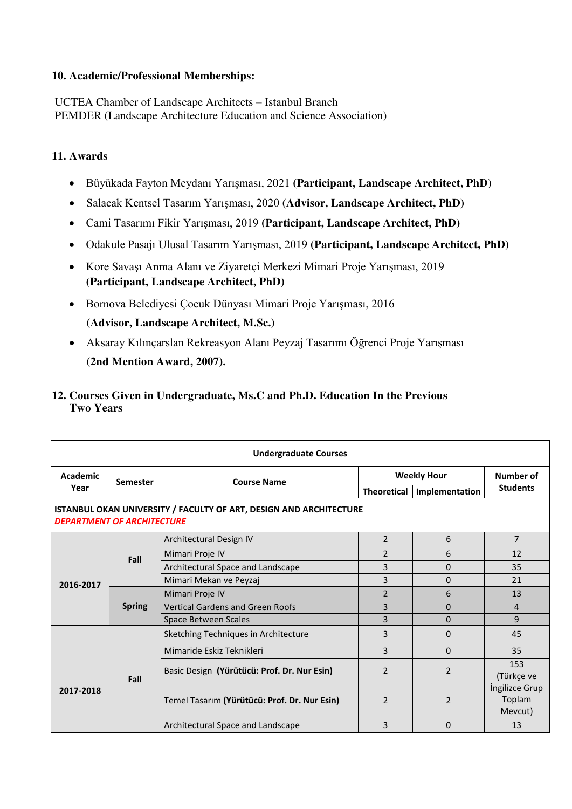#### **10. Academic/Professional Memberships:**

UCTEA Chamber of Landscape Architects – Istanbul Branch PEMDER (Landscape Architecture Education and Science Association)

### **11. Awards**

- Büyükada Fayton Meydanı Yarışması, 2021 **(Participant, Landscape Architect, PhD)**
- Salacak Kentsel Tasarım Yarışması, 2020 **(Advisor, Landscape Architect, PhD)**
- Cami Tasarımı Fikir Yarışması, 2019 **(Participant, Landscape Architect, PhD)**
- Odakule Pasajı Ulusal Tasarım Yarışması, 2019 **(Participant, Landscape Architect, PhD)**
- Kore Savaşı Anma Alanı ve Ziyaretçi Merkezi Mimari Proje Yarışması, 2019 **(Participant, Landscape Architect, PhD)**
- Bornova Belediyesi Çocuk Dünyası Mimari Proje Yarışması, 2016 **(Advisor, Landscape Architect, M.Sc.)**
- Aksaray Kılınçarslan Rekreasyon Alanı Peyzaj Tasarımı Öğrenci Proje Yarışması  **(2nd Mention Award, 2007).**

### **12. Courses Given in Undergraduate, Ms.C and Ph.D. Education In the Previous Two Years**

| <b>Undergraduate Courses</b>                                                                                   |                 |                                              |                    |                |                                     |  |  |
|----------------------------------------------------------------------------------------------------------------|-----------------|----------------------------------------------|--------------------|----------------|-------------------------------------|--|--|
| <b>Academic</b>                                                                                                | <b>Semester</b> | <b>Course Name</b>                           | <b>Weekly Hour</b> |                | Number of                           |  |  |
| Year                                                                                                           |                 |                                              | <b>Theoretical</b> | Implementation | <b>Students</b>                     |  |  |
| <b>ISTANBUL OKAN UNIVERSITY / FACULTY OF ART, DESIGN AND ARCHITECTURE</b><br><b>DEPARTMENT OF ARCHITECTURE</b> |                 |                                              |                    |                |                                     |  |  |
|                                                                                                                |                 | Architectural Design IV                      | $\overline{2}$     | 6              | $\overline{7}$                      |  |  |
|                                                                                                                | Fall            | Mimari Proje IV                              | $\mathfrak{p}$     | 6              | 12                                  |  |  |
|                                                                                                                |                 | Architectural Space and Landscape            | 3                  | $\Omega$       | 35                                  |  |  |
| 2016-2017                                                                                                      |                 | Mimari Mekan ve Peyzaj                       | 3                  | $\Omega$       | 21                                  |  |  |
|                                                                                                                | <b>Spring</b>   | Mimari Proje IV                              | $\overline{2}$     | 6              | 13                                  |  |  |
|                                                                                                                |                 | <b>Vertical Gardens and Green Roofs</b>      | 3                  | $\Omega$       | 4                                   |  |  |
|                                                                                                                |                 | <b>Space Between Scales</b>                  | $\overline{3}$     | $\Omega$       | 9                                   |  |  |
|                                                                                                                | Fall            | Sketching Techniques in Architecture         | 3                  | $\Omega$       | 45                                  |  |  |
|                                                                                                                |                 | Mimaride Eskiz Teknikleri                    | 3                  | $\Omega$       | 35                                  |  |  |
| 2017-2018                                                                                                      |                 | Basic Design (Yürütücü: Prof. Dr. Nur Esin)  | $\overline{2}$     | $\mathcal{P}$  | 153<br>(Türkçe ve                   |  |  |
|                                                                                                                |                 | Temel Tasarım (Yürütücü: Prof. Dr. Nur Esin) | $\mathfrak{p}$     | $\overline{2}$ | Ingilizce Grup<br>Toplam<br>Mevcut) |  |  |
|                                                                                                                |                 | Architectural Space and Landscape            | 3                  | $\Omega$       | 13                                  |  |  |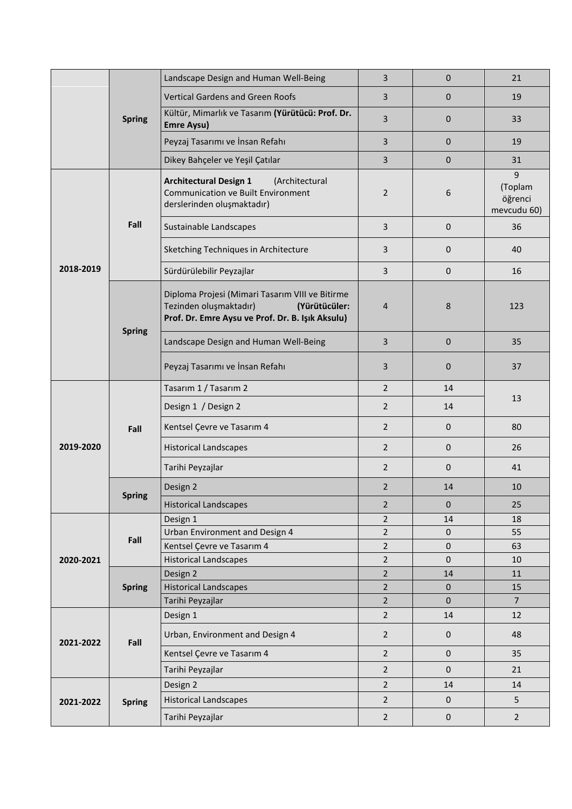|           | <b>Spring</b> | Landscape Design and Human Well-Being                                                                                                          | $\overline{3}$ | $\mathbf{0}$ | 21                                     |
|-----------|---------------|------------------------------------------------------------------------------------------------------------------------------------------------|----------------|--------------|----------------------------------------|
|           |               | <b>Vertical Gardens and Green Roofs</b>                                                                                                        | 3              | $\mathbf{0}$ | 19                                     |
|           |               | Kültür, Mimarlık ve Tasarım (Yürütücü: Prof. Dr.<br><b>Emre Aysu)</b>                                                                          | 3              | $\mathbf{0}$ | 33                                     |
|           |               | Peyzaj Tasarımı ve İnsan Refahı                                                                                                                | $\overline{3}$ | $\Omega$     | 19                                     |
|           |               | Dikey Bahçeler ve Yeşil Çatılar                                                                                                                | $\overline{3}$ | $\mathbf 0$  | 31                                     |
|           |               | <b>Architectural Design 1</b><br>(Architectural<br><b>Communication ve Built Environment</b><br>derslerinden oluşmaktadır)                     | $\overline{2}$ | 6            | 9<br>(Toplam<br>öğrenci<br>mevcudu 60) |
|           | Fall          | Sustainable Landscapes                                                                                                                         | 3              | $\mathbf{0}$ | 36                                     |
|           |               | Sketching Techniques in Architecture                                                                                                           | 3              | 0            | 40                                     |
| 2018-2019 |               | Sürdürülebilir Peyzajlar                                                                                                                       | 3              | $\mathbf{0}$ | 16                                     |
|           |               | Diploma Projesi (Mimari Tasarım VIII ve Bitirme<br>Tezinden oluşmaktadır)<br>(Yürütücüler:<br>Prof. Dr. Emre Aysu ve Prof. Dr. B. Işık Aksulu) | 4              | 8            | 123                                    |
|           | <b>Spring</b> | Landscape Design and Human Well-Being                                                                                                          | 3              | $\mathbf 0$  | 35                                     |
|           |               | Peyzaj Tasarımı ve İnsan Refahı                                                                                                                | 3              | 0            | 37                                     |
|           | Fall          | Tasarım 1 / Tasarım 2                                                                                                                          | $\overline{2}$ | 14           |                                        |
|           |               | Design 1 / Design 2                                                                                                                            | $\overline{2}$ | 14           | 13                                     |
|           |               | Kentsel Çevre ve Tasarım 4                                                                                                                     | $\overline{2}$ | $\mathbf{0}$ | 80                                     |
| 2019-2020 |               | <b>Historical Landscapes</b>                                                                                                                   | $\overline{2}$ | $\mathbf{0}$ | 26                                     |
|           |               | Tarihi Peyzajlar                                                                                                                               | $\overline{2}$ | $\mathbf{0}$ | 41                                     |
|           | <b>Spring</b> | Design 2                                                                                                                                       | $\overline{2}$ | 14           | 10                                     |
|           |               | <b>Historical Landscapes</b>                                                                                                                   | $\overline{2}$ | 0            | 25                                     |
|           |               | Design 1                                                                                                                                       | $\overline{2}$ | 14           | 18                                     |
|           | Fall          | Urban Environment and Design 4                                                                                                                 | $\overline{2}$ | $\mathbf{0}$ | 55                                     |
|           |               | Kentsel Çevre ve Tasarım 4                                                                                                                     | $\overline{2}$ | $\mathbf{0}$ | 63                                     |
| 2020-2021 |               | <b>Historical Landscapes</b>                                                                                                                   | $\overline{2}$ | $\mathbf 0$  | 10                                     |
|           |               | Design 2                                                                                                                                       | $\overline{2}$ | 14           | 11                                     |
|           | <b>Spring</b> | <b>Historical Landscapes</b>                                                                                                                   | $\overline{2}$ | $\mathbf 0$  | 15                                     |
|           |               | Tarihi Peyzajlar                                                                                                                               | $\overline{2}$ | $\mathbf{0}$ | $7^{\circ}$                            |
| 2021-2022 |               | Design 1                                                                                                                                       | $\overline{2}$ | 14           | 12                                     |
|           | Fall          | Urban, Environment and Design 4                                                                                                                | $\overline{2}$ | 0            | 48                                     |
|           |               | Kentsel Çevre ve Tasarım 4                                                                                                                     | $\overline{2}$ | $\mathbf 0$  | 35                                     |
|           |               | Tarihi Peyzajlar                                                                                                                               | $\overline{2}$ | $\mathbf{0}$ | 21                                     |
| 2021-2022 |               | Design 2                                                                                                                                       | $\overline{2}$ | 14           | 14                                     |
|           | <b>Spring</b> | <b>Historical Landscapes</b>                                                                                                                   | $\overline{2}$ | $\mathbf 0$  | 5                                      |
|           |               | Tarihi Peyzajlar                                                                                                                               | $\overline{2}$ | 0            | $\overline{2}$                         |